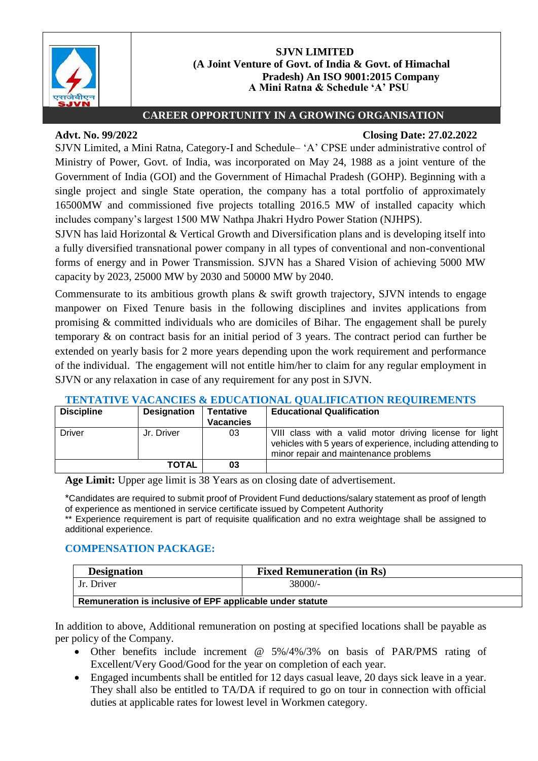

## **SJVN LIMITED (A Joint Venture of Govt. of India & Govt. of Himachal Pradesh) An ISO 9001:2015 Company A Mini Ratna & Schedule 'A' PSU**

# **CAREER OPPORTUNITY IN A GROWING ORGANISATION**

# **Advt. No. 99/2022 Closing Date: 27.02.2022**

SJVN Limited, a Mini Ratna, Category-I and Schedule– 'A' CPSE under administrative control of Ministry of Power, Govt. of India, was incorporated on May 24, 1988 as a joint venture of the Government of India (GOI) and the Government of Himachal Pradesh (GOHP). Beginning with a single project and single State operation, the company has a total portfolio of approximately 16500MW and commissioned five projects totalling 2016.5 MW of installed capacity which includes company's largest 1500 MW Nathpa Jhakri Hydro Power Station (NJHPS).

SJVN has laid Horizontal & Vertical Growth and Diversification plans and is developing itself into a fully diversified transnational power company in all types of conventional and non-conventional forms of energy and in Power Transmission. SJVN has a Shared Vision of achieving 5000 MW capacity by 2023, 25000 MW by 2030 and 50000 MW by 2040.

Commensurate to its ambitious growth plans & swift growth trajectory, SJVN intends to engage manpower on Fixed Tenure basis in the following disciplines and invites applications from promising & committed individuals who are domiciles of Bihar. The engagement shall be purely temporary & on contract basis for an initial period of 3 years. The contract period can further be extended on yearly basis for 2 more years depending upon the work requirement and performance of the individual. The engagement will not entitle him/her to claim for any regular employment in SJVN or any relaxation in case of any requirement for any post in SJVN.

| <b>Discipline</b> | <b>Designation</b> | <b>Tentative</b><br><b>Vacancies</b> | <b>Educational Qualification</b>                                                                                                                                |
|-------------------|--------------------|--------------------------------------|-----------------------------------------------------------------------------------------------------------------------------------------------------------------|
| <b>Driver</b>     | Jr. Driver         | 03                                   | VIII class with a valid motor driving license for light<br>vehicles with 5 years of experience, including attending to<br>minor repair and maintenance problems |
|                   | <b>TOTAL</b>       | 03                                   |                                                                                                                                                                 |

# **TENTATIVE VACANCIES & EDUCATIONAL QUALIFICATION REQUIREMENTS**

**Age Limit:** Upper age limit is 38 Years as on closing date of advertisement.

\*Candidates are required to submit proof of Provident Fund deductions/salary statement as proof of length of experience as mentioned in service certificate issued by Competent Authority

\*\* Experience requirement is part of requisite qualification and no extra weightage shall be assigned to additional experience.

# **COMPENSATION PACKAGE:**

| <b>Designation</b>                                        | <b>Fixed Remuneration (in Rs)</b> |  |  |  |
|-----------------------------------------------------------|-----------------------------------|--|--|--|
| Jr. Driver                                                | 38000/-                           |  |  |  |
| Remuneration is inclusive of EPF applicable under statute |                                   |  |  |  |

In addition to above, Additional remuneration on posting at specified locations shall be payable as per policy of the Company.

- Other benefits include increment @ 5%/4%/3% on basis of PAR/PMS rating of Excellent/Very Good/Good for the year on completion of each year.
- Engaged incumbents shall be entitled for 12 days casual leave, 20 days sick leave in a year. They shall also be entitled to TA/DA if required to go on tour in connection with official duties at applicable rates for lowest level in Workmen category.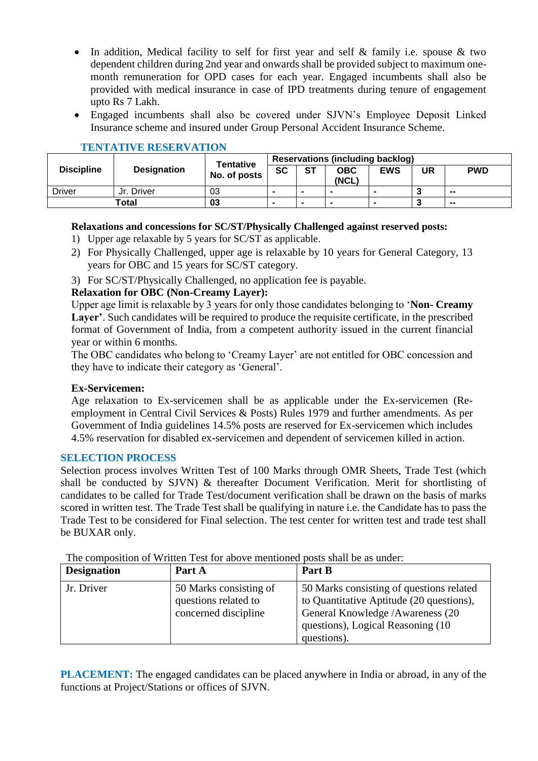- In addition, Medical facility to self for first year and self & family i.e. spouse & two dependent children during 2nd year and onwards shall be provided subject to maximum onemonth remuneration for OPD cases for each year. Engaged incumbents shall also be provided with medical insurance in case of IPD treatments during tenure of engagement upto Rs 7 Lakh.
- Engaged incumbents shall also be covered under SJVN's Employee Deposit Linked Insurance scheme and insured under Group Personal Accident Insurance Scheme.

|                   | <b>Designation</b> | <b>Tentative</b><br>No. of posts | <b>Reservations (including backlog)</b> |           |                     |                          |    |            |
|-------------------|--------------------|----------------------------------|-----------------------------------------|-----------|---------------------|--------------------------|----|------------|
| <b>Discipline</b> |                    |                                  | <b>SC</b>                               | <b>ST</b> | <b>OBC</b><br>(NCL) | <b>EWS</b>               | UR | <b>PWD</b> |
| <b>Driver</b>     | Jr. Driver         | 03                               | $\overline{\phantom{a}}$                |           | $\sim$              | $\overline{\phantom{a}}$ |    | --         |
| Total             |                    | 03                               | $\overline{\phantom{a}}$                |           |                     |                          |    | --         |

# **TENTATIVE RESERVATION**

# **Relaxations and concessions for SC/ST/Physically Challenged against reserved posts:**

- 1) Upper age relaxable by 5 years for SC/ST as applicable.
- 2) For Physically Challenged, upper age is relaxable by 10 years for General Category, 13 years for OBC and 15 years for SC/ST category.
- 3) For SC/ST/Physically Challenged, no application fee is payable.

## **Relaxation for OBC (Non-Creamy Layer):**

Upper age limit is relaxable by 3 years for only those candidates belonging to '**Non- Creamy Layer'**. Such candidates will be required to produce the requisite certificate, in the prescribed format of Government of India, from a competent authority issued in the current financial year or within 6 months.

The OBC candidates who belong to 'Creamy Layer' are not entitled for OBC concession and they have to indicate their category as 'General'.

#### **Ex-Servicemen:**

Age relaxation to Ex-servicemen shall be as applicable under the Ex-servicemen (Reemployment in Central Civil Services & Posts) Rules 1979 and further amendments. As per Government of India guidelines 14.5% posts are reserved for Ex-servicemen which includes 4.5% reservation for disabled ex-servicemen and dependent of servicemen killed in action.

#### **SELECTION PROCESS**

Selection process involves Written Test of 100 Marks through OMR Sheets, Trade Test (which shall be conducted by SJVN) & thereafter Document Verification. Merit for shortlisting of candidates to be called for Trade Test/document verification shall be drawn on the basis of marks scored in written test. The Trade Test shall be qualifying in nature i.e. the Candidate has to pass the Trade Test to be considered for Final selection. The test center for written test and trade test shall be BUXAR only.

| <b>Designation</b> | Part A                                                                 | Part B                                                                                                                                                                         |
|--------------------|------------------------------------------------------------------------|--------------------------------------------------------------------------------------------------------------------------------------------------------------------------------|
| Jr. Driver         | 50 Marks consisting of<br>questions related to<br>concerned discipline | 50 Marks consisting of questions related<br>to Quantitative Aptitude (20 questions),<br>General Knowledge / Awareness (20<br>questions), Logical Reasoning (10)<br>questions). |

The composition of Written Test for above mentioned posts shall be as under:

**PLACEMENT:** The engaged candidates can be placed anywhere in India or abroad, in any of the functions at Project/Stations or offices of SJVN.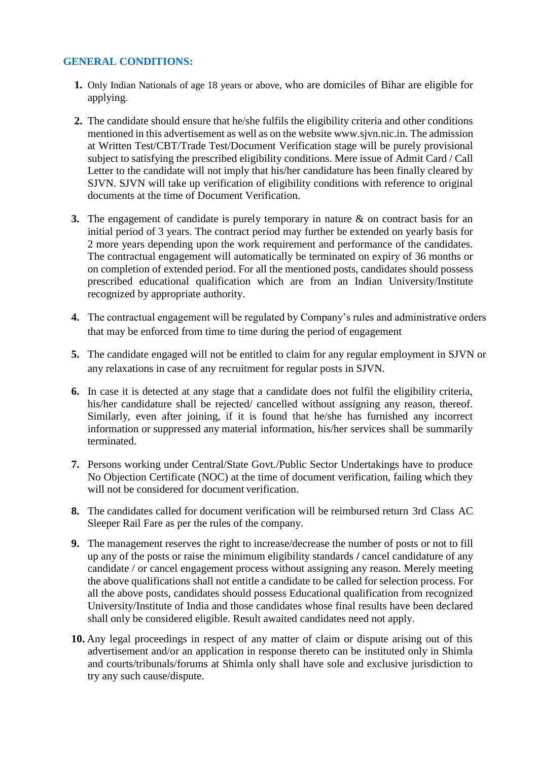## **GENERAL CONDITIONS:**

- **1.** Only Indian Nationals of age 18 years or above, who are domiciles of Bihar are eligible for applying.
- **2.** The candidate should ensure that he/she fulfils the eligibility criteria and other conditions mentioned in this advertisement as well as on the websit[e www.sjvn.nic.in. T](http://www.sjvn.nic.in/)he admission at Written Test/CBT/Trade Test/Document Verification stage will be purely provisional subject to satisfying the prescribed eligibility conditions. Mere issue of Admit Card / Call Letter to the candidate will not imply that his/her candidature has been finally cleared by SJVN. SJVN will take up verification of eligibility conditions with reference to original documents at the time of Document Verification.
- **3.** The engagement of candidate is purely temporary in nature & on contract basis for an initial period of 3 years. The contract period may further be extended on yearly basis for 2 more years depending upon the work requirement and performance of the candidates. The contractual engagement will automatically be terminated on expiry of 36 months or on completion of extended period. For all the mentioned posts, candidates should possess prescribed educational qualification which are from an Indian University/Institute recognized by appropriate authority.
- **4.** The contractual engagement will be regulated by Company's rules and administrative orders that may be enforced from time to time during the period of engagement
- **5.** The candidate engaged will not be entitled to claim for any regular employment in SJVN or any relaxations in case of any recruitment for regular posts in SJVN.
- **6.** In case it is detected at any stage that a candidate does not fulfil the eligibility criteria, his/her candidature shall be rejected/ cancelled without assigning any reason, thereof. Similarly, even after joining, if it is found that he/she has furnished any incorrect information or suppressed any material information, his/her services shall be summarily terminated.
- **7.** Persons working under Central/State Govt./Public Sector Undertakings have to produce No Objection Certificate (NOC) at the time of document verification, failing which they will not be considered for document verification.
- **8.** The candidates called for document verification will be reimbursed return 3rd Class AC Sleeper Rail Fare as per the rules of the company.
- **9.** The management reserves the right to increase/decrease the number of posts or not to fill up any of the posts or raise the minimum eligibility standards **/** cancel candidature of any candidate / or cancel engagement process without assigning any reason. Merely meeting the above qualifications shall not entitle a candidate to be called for selection process. For all the above posts, candidates should possess Educational qualification from recognized University/Institute of India and those candidates whose final results have been declared shall only be considered eligible. Result awaited candidates need not apply.
- **10.** Any legal proceedings in respect of any matter of claim or dispute arising out of this advertisement and/or an application in response thereto can be instituted only in Shimla and courts/tribunals/forums at Shimla only shall have sole and exclusive jurisdiction to try any such cause/dispute.